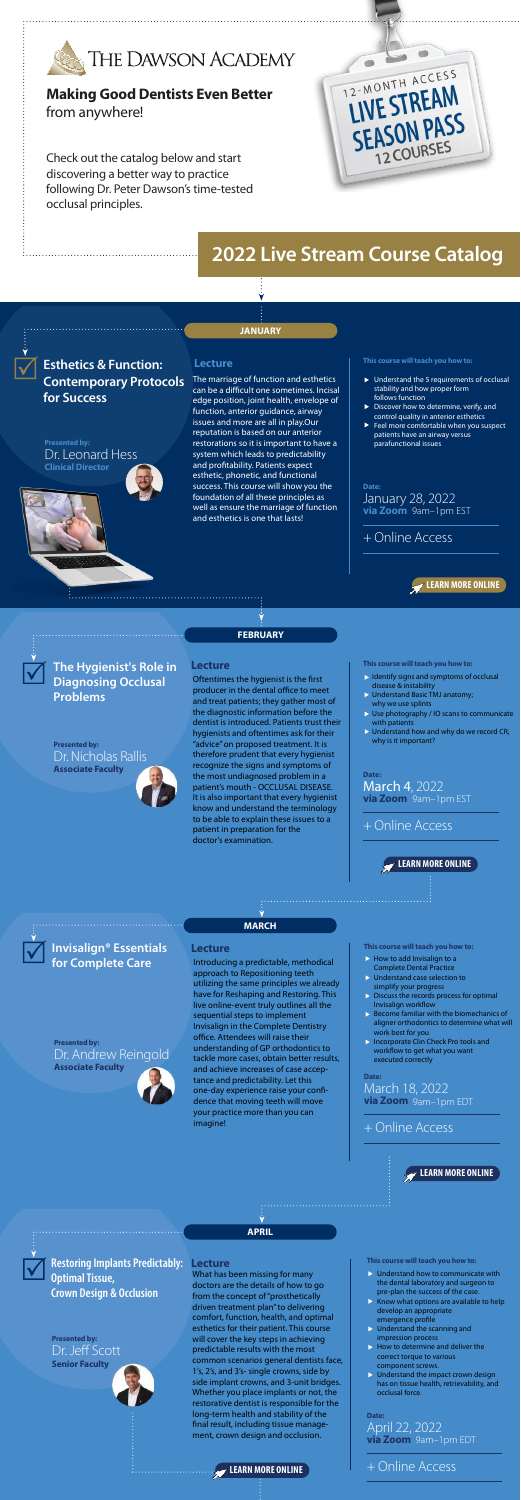**This course will teach you how to:**

+ Online Access



# **[Making Good Dentists Even Better](https://thedawsonacademy.com/online-learning/2022-virtual-live-stream-courses/)** from anywhere!

Check out the catalog below and start discovering a better way to practice following Dr. Peter Dawson's time-tested occlusal principles.



**Esthetics & Function: Contemporary Protocols for Success**

# **2022 Live S[tream Course Catalog](https://thedawsonacademy.com/online-learning/2022-virtual-live-stream-courses/)**

**JANUARY**

**FEBRUARY**

### **Lecture**

**Presented by:**  Dr. Leonard Hess **Clinical Director**

**Presented by:**  Dr. Nicholas Rallis

**Associate Faculty**



**Date:**  January 28, 2022 **via Zoom** 9am–1pm EST

**Lecture This course will teach you how to:**

+ Online Access

**Presented by:**  Dr. Andrew Reingold **Associate Faculty**



**Lecture This course will teach you how to:**

### + Online Access

**MARCH**

# **APRIL**

### **Date:**  March 4, 2022 **via Zoom** 9am–1pm EST

**Presented by:**  Dr. Jeff Scott **Senior Faculty**

#### **Lecture This course will teach you how to:**

**Date:**  March 18, 2022 **via Zoom** 9am–1pm EDT

- $\blacktriangleright$  Understand the 5 requirements of occlusal stability and how proper form follows function
- Discover how to determine, verify, and control quality in anterior esthetics
- Feel more comfortable when you suspect patients have an airway versus parafunctional issues

### **[LEARN MORE ONLINE](https://thedawsonacademy.com/live-course/live-stream-invisalign-essentials-for-complete-care-2/)**



**Date:**  April 22, 2022 **via Zoom** 9am–1pm EDT

**[LEARN MORE ONLINE](https://thedawsonacademy.com/live-course/live-stream-restoring-implants-predictably-optimal-tissue-crown-design-and-occlusion/)** + Online Access

**[LEARN MORE ONLINE](https://thedawsonacademy.com/live-course/live-stream-the-hygienists-role-in-diagnosing-occlusal-problems/)**



**[LEARN MORE ONLINE](https://thedawsonacademy.com/live-course/live-stream-esthetics-and-function-contemporary-protocols-for-success/)**



Oftentimes the hygienist is the first producer in the dental office to meet and treat patients; they gather most of the diagnostic information before the dentist is introduced. Patients trust their hygienists and oftentimes ask for their "advice" on proposed treatment. It is therefore prudent that every hygienist recognize the signs and symptoms of the most undiagnosed problem in a patient's mouth - OCCLUSAL DISEASE. It is also important that every hygienist know and understand the terminology to be able to explain these issues to a patient in preparation for the doctor's examination.

The marriage of function and esthetics can be a difficult one sometimes. Incisal edge position, joint health, envelope of function, anterior guidance, airway issues and more are all in play.Our reputation is based on our anterior restorations so it is important to have a system which leads to predictability and profitability. Patients expect esthetic, phonetic, and functional success. This course will show you the foundation of all these principles as well as ensure the marriage of function and esthetics is one that lasts!

- $\triangleright$  Identify signs and symptoms of occlusal disease & instability
- Understand Basic TMJ anatomy; why we use splints
- Use photography / IO scans to communicate with patients
- $\triangleright$  Understand how and why do we record CR; why is it important?

for Complete Care **Introducing a predictable**, methodical approach to Repositioning teeth utilizing the same principles we already have for Reshaping and Restoring. This live online-event truly outlines all the sequential steps to implement Invisalign in the Complete Dentistry office. Attendees will raise their understanding of GP orthodontics to tackle more cases, obtain better results, and achieve increases of case acceptance and predictability. Let this one-day experience raise your confidence that moving teeth will move your practice more than you can imagine!

- $\triangleright$  How to add Invisalign to a Complete Dental Practice
- **D** Understand case selection to simplify your progress
- $\triangleright$  Discuss the records process for optimal Invisalign workflow
- $\triangleright$  Become familiar with the biomechanics of aligner orthodontics to determine what will work best for you
- **Incorporate Clin Check Pro tools and** workflow to get what you want executed correctly

- $\triangleright$  Understand how to communicate with the dental laboratory and surgeon to pre-plan the success of the case.
- Know what options are available to help develop an appropriate emergence profile
- $\triangleright$  Understand the scanning and impression process
- $\blacktriangleright$  How to determine and deliver the correct torque to various component screws.
- **ID Understand the impact crown design** has on tissue health, retrievability, and occlusal force.

# **The Hygienist's Role in Diagnosing Occlusal Problems**

**Invisalign® Essentials** 

**Restoring Implants Predictably: Optimal Tissue, Crown Design & Occlusion**

What has been missing for many doctors are the details of how to go from the concept of "prosthetically driven treatment plan" to delivering comfort, function, health, and optimal esthetics for their patient. This course will cover the key steps in achieving predictable results with the most common scenarios general dentists face, 1's, 2's, and 3's- single crowns, side by side implant crowns, and 3-unit bridges. Whether you place implants or not, the restorative dentist is responsible for the long-term health and stability of the final result, including tissue management, crown design and occlusion.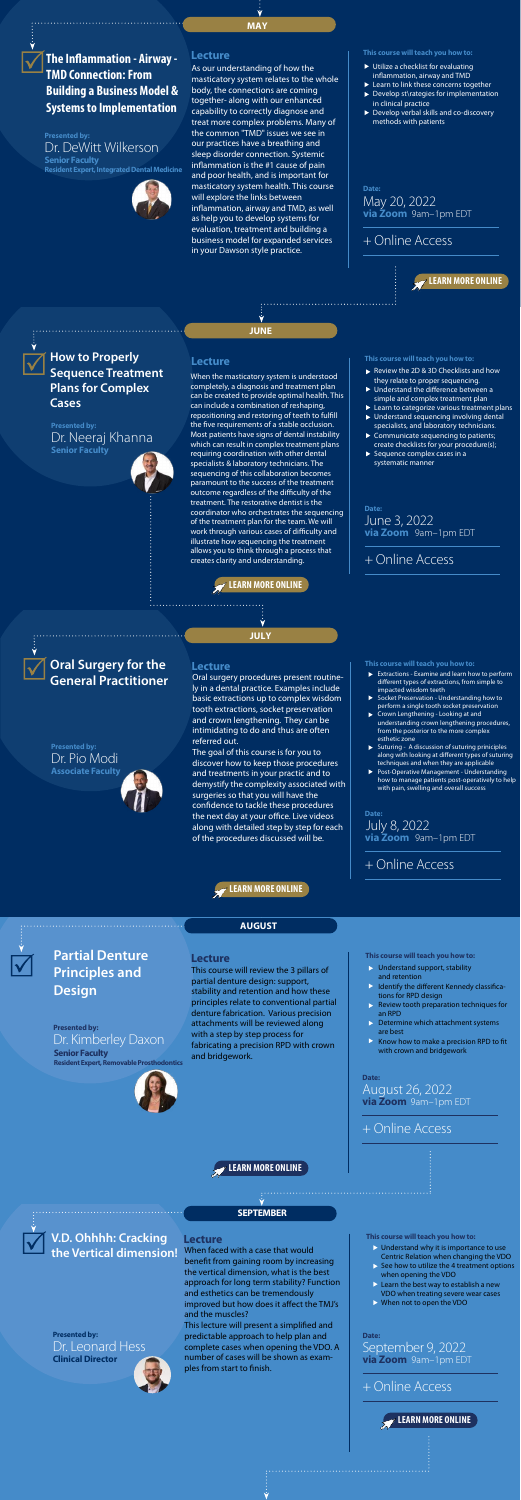

# **AUGUST**

**Presented by:**  Dr. DeWitt Wilkerson **Senior Faculty Resident Expert, Integrated Dental Medicine**



#### **Lecture This course will teach you how to:**

### + Online Access

**Presented by:**  Dr. Neeraj Khanna **Senior Faculty**

**Lecture This course will teach you how to:**

+ Online Access

**Lecture This course will teach you how to:**

#### **Date:**  May 20, 2022 **via Zoom** 9am–1pm EDT

# + Online Access

**SEPTEMBER**

**Date:**  June 3, 2022 **via Zoom** 9am–1pm EDT

**Presented by:**  Dr. Kimberley Daxon **Senior Faculty Resident Expert, Removable Prosthodontics**



**Date:**  August 26, 2022 **via Zoom** 9am–1pm EDT

#### **Lecture**

**[LEARN MORE ONLINE](https://thedawsonacademy.com/live-course/live-stream-v-d-ohhhh-cracking-the-vertical-dimension/)**

### **[LEARN MORE ONLINE](https://thedawsonacademy.com/live-course/live-stream-partial-denture-principles-and-design/)**

#### **[LEARN MORE ONLINE](https://thedawsonacademy.com/live-course/live-stream-how-to-properly-sequence-treatment-plans-for-big-cases/)**

**[LEARN MORE ONLINE](https://thedawsonacademy.com/live-course/live-stream-the-inflammation-airway-tmd-connection-building-systems-implementation-a-business-model/)**

**Date:**  September 9, 2022 **via Zoom** 9am–1pm EDT

# + Online Access

**MAY**

**This course will teach you how to:**

# **The Inammation - Airway - TMD Connection: From Building a Business Model & Systems to Implementation**

- ▶ Utilize a checklist for evaluating inflammation, airway and TMD
- ▶ Learn to link these concerns together
- Develop st\rategies for implementation in clinical practice
- Develop verbal skills and co-discovery methods with patients

As our understanding of how the masticatory system relates to the whole body, the connections are coming together- along with our enhanced capability to correctly diagnose and treat more complex problems. Many of the common "TMD" issues we see in our practices have a breathing and sleep disorder connection. Systemic inflammation is the  $#1$  cause of pain and poor health, and is important for masticatory system health. This course will explore the links between inflammation, airway and TMD, as well as help you to develop systems for evaluation, treatment and building a business model for expanded services in your Dawson style practice.

- Review the 2D & 3D Checklists and how they relate to proper sequencing.
- $\blacktriangleright$  Understand the difference between a simple and complex treatment plan
- ▶ Learn to categorize various treatment plans Understand sequencing involving dental specialists, and laboratory technicians.
- ▶ Communicate sequencing to patients; create checklists for your procedure(s);
- Sequence complex cases in a systematic manner

**How to Properly Sequence Treatment Plans for Complex Cases**

When the masticatory system is understood completely, a diagnosis and treatment plan can be created to provide optimal health. This can include a combination of reshaping, repositioning and restoring of teeth to fulfill the five requirements of a stable occlusion. Most patients have signs of dental instability which can result in complex treatment plans requiring coordination with other dental specialists & laboratory technicians. The sequencing of this collaboration becomes paramount to the success of the treatment outcome regardless of the difficulty of the treatment. The restorative dentist is the coordinator who orchestrates the sequencing of the treatment plan for the team. We will work through various cases of difficulty and illustrate how sequencing the treatment allows you to think through a process that creates clarity and understanding.

- Extractions Examine and learn how to perform different types of extractions, from simple to impacted wisdom teeth
- Socket Preservation Understanding how to perform a single tooth socket preservation Crown Lengthening - Looking at and
- understanding crown lengthening procedures, from the posterior to the more complex esthetic zone
- Suturing A discussion of suturing priniciples along with looking at different types of suturing techniques and when they are applicable

- $\triangleright$  Understand why it is importance to use Centric Relation when changing the VDO
- See how to utilize the 4 treatment options when opening the VDO
- $\blacktriangleright$  Learn the best way to establish a new VDO when treating severe wear cases
- When not to open the VDO

# **Partial Denture Principles and Design**

This course will review the 3 pillars of partial denture design: support, stability and retention and how these principles relate to conventional partial denture fabrication. Various precision attachments will be reviewed along with a step by step process for fabricating a precision RPD with crown and bridgework.

- Understand support, stability and retention
- Identify the different Kennedy classifications for RPD design
- Review tooth preparation techniques for an RPD
- Determine which attachment systems are best
- Know how to make a precision RPD to fit with crown and bridgework

**JULY**

**Lecture This course will teach you how to:**

**Date:**  July 8, 2022 **via Zoom** 9am–1pm EDT

+ Online Access



**[LEARN MORE ONLINE](https://thedawsonacademy.com/live-course/live-stream-oral-surgery-for-the-general-practitioner/)**

# **Oral Surgery for the General Practitioner**

### **Presented by:**  Dr. Pio Modi

**Associate Faculty**

Oral surgery procedures present routinely in a dental practice. Examples include basic extractions up to complex wisdom tooth extractions, socket preservation and crown lengthening. They can be intimidating to do and thus are often referred out.

The goal of this course is for you to discover how to keep those procedur and treatments in your practic and to demystify the complexity associated with surgeries so that you will have the confidence to tackle these procedures the next day at your office. Live videos along with detailed step by step for each of the procedures discussed will be.

Post-Operative Management - Understanding how to manage patients post-operatively to help with pain, swelling and overall success

**V.D. Ohhhh: Cracking the Vertical dimension!**

**Presented by:**  Dr. Leonard Hess **Clinical Director**

When faced with a case that would benefit from gaining room by increasing the vertical dimension, what is the best approach for long term stability? Function and esthetics can be tremendously improved but how does it affect the TMJ's and the muscles?

This lecture will present a simplified and predictable approach to help plan and complete cases when opening the VDO. A number of cases will be shown as examples from start to finish.